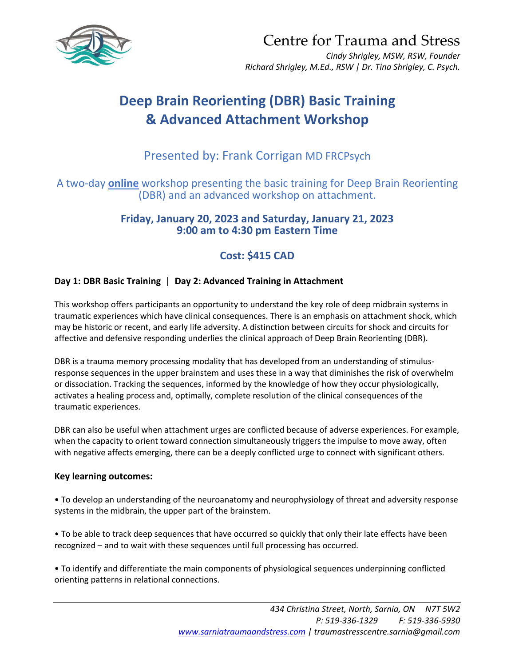

Centre for Trauma and Stress

*Cindy Shrigley, MSW, RSW, Founder Richard Shrigley, M.Ed., RSW | Dr. Tina Shrigley, C. Psych.*

# **Deep Brain Reorienting (DBR) Basic Training & Advanced Attachment Workshop**

## Presented by: Frank Corrigan MD FRCPsych

A two-day **online** workshop presenting the basic training for Deep Brain Reorienting (DBR) and an advanced workshop on attachment.

> **Friday, January 20, 2023 and Saturday, January 21, 2023 9:00 am to 4:30 pm Eastern Time**

## **Cost: \$415 CAD**

### **Day 1: DBR Basic Training** | **Day 2: Advanced Training in Attachment**

This workshop offers participants an opportunity to understand the key role of deep midbrain systems in traumatic experiences which have clinical consequences. There is an emphasis on attachment shock, which may be historic or recent, and early life adversity. A distinction between circuits for shock and circuits for affective and defensive responding underlies the clinical approach of Deep Brain Reorienting (DBR).

DBR is a trauma memory processing modality that has developed from an understanding of stimulusresponse sequences in the upper brainstem and uses these in a way that diminishes the risk of overwhelm or dissociation. Tracking the sequences, informed by the knowledge of how they occur physiologically, activates a healing process and, optimally, complete resolution of the clinical consequences of the traumatic experiences.

DBR can also be useful when attachment urges are conflicted because of adverse experiences. For example, when the capacity to orient toward connection simultaneously triggers the impulse to move away, often with negative affects emerging, there can be a deeply conflicted urge to connect with significant others.

#### **Key learning outcomes:**

• To develop an understanding of the neuroanatomy and neurophysiology of threat and adversity response systems in the midbrain, the upper part of the brainstem.

• To be able to track deep sequences that have occurred so quickly that only their late effects have been recognized – and to wait with these sequences until full processing has occurred.

• To identify and differentiate the main components of physiological sequences underpinning conflicted orienting patterns in relational connections.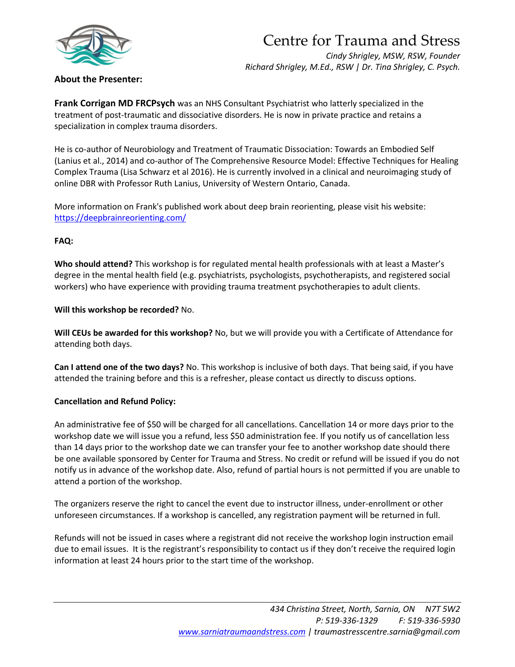

# Centre for Trauma and Stress

*Cindy Shrigley, MSW, RSW, Founder Richard Shrigley, M.Ed., RSW | Dr. Tina Shrigley, C. Psych.*

### **About the Presenter:**

**Frank Corrigan MD FRCPsych** was an NHS Consultant Psychiatrist who latterly specialized in the treatment of post-traumatic and dissociative disorders. He is now in private practice and retains a specialization in complex trauma disorders.

He is co-author of Neurobiology and Treatment of Traumatic Dissociation: Towards an Embodied Self (Lanius et al., 2014) and co-author of The Comprehensive Resource Model: Effective Techniques for Healing Complex Trauma (Lisa Schwarz et al 2016). He is currently involved in a clinical and neuroimaging study of online DBR with Professor Ruth Lanius, University of Western Ontario, Canada.

More information on Frank's published work about deep brain reorienting, please visit his website: <https://deepbrainreorienting.com/>

#### **FAQ:**

**Who should attend?** This workshop is for regulated mental health professionals with at least a Master's degree in the mental health field (e.g. psychiatrists, psychologists, psychotherapists, and registered social workers) who have experience with providing trauma treatment psychotherapies to adult clients.

#### **Will this workshop be recorded?** No.

**Will CEUs be awarded for this workshop?** No, but we will provide you with a Certificate of Attendance for attending both days.

**Can I attend one of the two days?** No. This workshop is inclusive of both days. That being said, if you have attended the training before and this is a refresher, please contact us directly to discuss options.

#### **Cancellation and Refund Policy:**

An administrative fee of \$50 will be charged for all cancellations. Cancellation 14 or more days prior to the workshop date we will issue you a refund, less \$50 administration fee. If you notify us of cancellation less than 14 days prior to the workshop date we can transfer your fee to another workshop date should there be one available sponsored by Center for Trauma and Stress. No credit or refund will be issued if you do not notify us in advance of the workshop date. Also, refund of partial hours is not permitted if you are unable to attend a portion of the workshop.

The organizers reserve the right to cancel the event due to instructor illness, under-enrollment or other unforeseen circumstances. If a workshop is cancelled, any registration payment will be returned in full.

Refunds will not be issued in cases where a registrant did not receive the workshop login instruction email due to email issues. It is the registrant's responsibility to contact us if they don't receive the required login information at least 24 hours prior to the start time of the workshop.